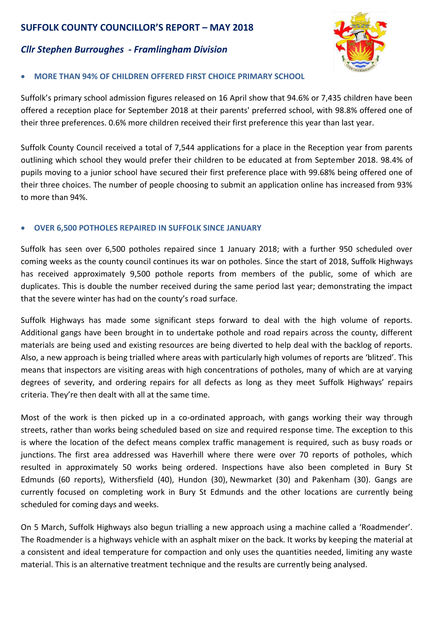# **SUFFOLK COUNTY COUNCILLOR'S REPORT – MAY 2018**

# *Cllr Stephen Burroughes - Framlingham Division*



## **MORE THAN 94% OF CHILDREN OFFERED FIRST CHOICE PRIMARY SCHOOL**

Suffolk's primary school admission figures released on 16 April show that 94.6% or 7,435 children have been offered a reception place for September 2018 at their parents' preferred school, with 98.8% offered one of their three preferences. 0.6% more children received their first preference this year than last year.

Suffolk County Council received a total of 7,544 applications for a place in the Reception year from parents outlining which school they would prefer their children to be educated at from September 2018. 98.4% of pupils moving to a junior school have secured their first preference place with 99.68% being offered one of their three choices. The number of people choosing to submit an application online has increased from 93% to more than 94%.

### **OVER 6,500 POTHOLES REPAIRED IN SUFFOLK SINCE JANUARY**

Suffolk has seen over 6,500 potholes repaired since 1 January 2018; with a further 950 scheduled over coming weeks as the county council continues its war on potholes. Since the start of 2018, Suffolk Highways has received approximately 9,500 pothole reports from members of the public, some of which are duplicates. This is double the number received during the same period last year; demonstrating the impact that the severe winter has had on the county's road surface.

Suffolk Highways has made some significant steps forward to deal with the high volume of reports. Additional gangs have been brought in to undertake pothole and road repairs across the county, different materials are being used and existing resources are being diverted to help deal with the backlog of reports. Also, a new approach is being trialled where areas with particularly high volumes of reports are 'blitzed'. This means that inspectors are visiting areas with high concentrations of potholes, many of which are at varying degrees of severity, and ordering repairs for all defects as long as they meet Suffolk Highways' repairs criteria. They're then dealt with all at the same time.

Most of the work is then picked up in a co-ordinated approach, with gangs working their way through streets, rather than works being scheduled based on size and required response time. The exception to this is where the location of the defect means complex traffic management is required, such as busy roads or junctions. The first area addressed was Haverhill where there were over 70 reports of potholes, which resulted in approximately 50 works being ordered. Inspections have also been completed in Bury St Edmunds (60 reports), Withersfield (40), Hundon (30), Newmarket (30) and Pakenham (30). Gangs are currently focused on completing work in Bury St Edmunds and the other locations are currently being scheduled for coming days and weeks.

On 5 March, Suffolk Highways also begun trialling a new approach using a machine called a 'Roadmender'. The Roadmender is a highways vehicle with an asphalt mixer on the back. It works by keeping the material at a consistent and ideal temperature for compaction and only uses the quantities needed, limiting any waste material. This is an alternative treatment technique and the results are currently being analysed.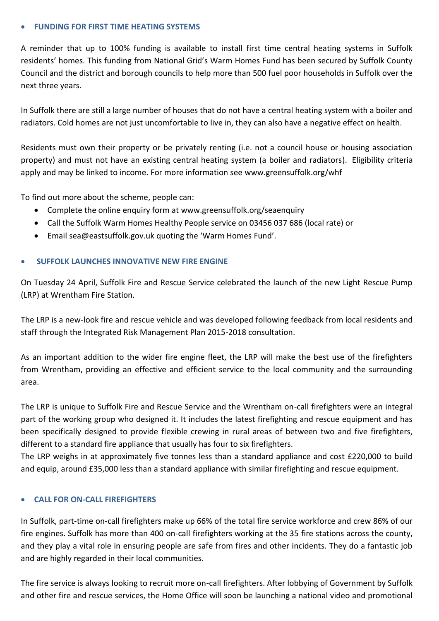#### **FUNDING FOR FIRST TIME HEATING SYSTEMS**

A reminder that up to 100% funding is available to install first time central heating systems in Suffolk residents' homes. This funding from National Grid's Warm Homes Fund has been secured by Suffolk County Council and the district and borough councils to help more than 500 fuel poor households in Suffolk over the next three years.

In Suffolk there are still a large number of houses that do not have a central heating system with a boiler and radiators. Cold homes are not just uncomfortable to live in, they can also have a negative effect on health.

Residents must own their property or be privately renting (i.e. not a council house or housing association property) and must not have an existing central heating system (a boiler and radiators). Eligibility criteria apply and may be linked to income. For more information see [www.greensuffolk.org/whf](http://www.greensuffolk.org/whf)

To find out more about the scheme, people can:

- Complete the online enquiry form at [www.greensuffolk.org/seaenquiry](http://www.greensuffolk.org/seaenquiry)
- Call the Suffolk Warm Homes Healthy People service on 03456 037 686 (local rate) or
- Email [sea@eastsuffolk.gov.uk](mailto:sea@eastsuffolk.gov.uk) quoting the 'Warm Homes Fund'.

#### **SUFFOLK LAUNCHES INNOVATIVE NEW FIRE ENGINE**

On Tuesday 24 April, Suffolk Fire and Rescue Service celebrated the launch of the new Light Rescue Pump (LRP) at Wrentham Fire Station.

The LRP is a new-look fire and rescue vehicle and was developed following feedback from local residents and staff through the Integrated Risk Management Plan 2015-2018 consultation.

As an important addition to the wider fire engine fleet, the LRP will make the best use of the firefighters from Wrentham, providing an effective and efficient service to the local community and the surrounding area.

The LRP is unique to Suffolk Fire and Rescue Service and the Wrentham on-call firefighters were an integral part of the working group who designed it. It includes the latest firefighting and rescue equipment and has been specifically designed to provide flexible crewing in rural areas of between two and five firefighters, different to a standard fire appliance that usually has four to six firefighters.

The LRP weighs in at approximately five tonnes less than a standard appliance and cost £220,000 to build and equip, around £35,000 less than a standard appliance with similar firefighting and rescue equipment.

#### **CALL FOR ON-CALL FIREFIGHTERS**

In Suffolk, part-time on-call firefighters make up 66% of the total fire service workforce and crew 86% of our fire engines. Suffolk has more than 400 on-call firefighters working at the 35 fire stations across the county, and they play a vital role in ensuring people are safe from fires and other incidents. They do a fantastic job and are highly regarded in their local communities.

The fire service is always looking to recruit more on-call firefighters. After lobbying of Government by Suffolk and other fire and rescue services, the Home Office will soon be launching a national video and promotional